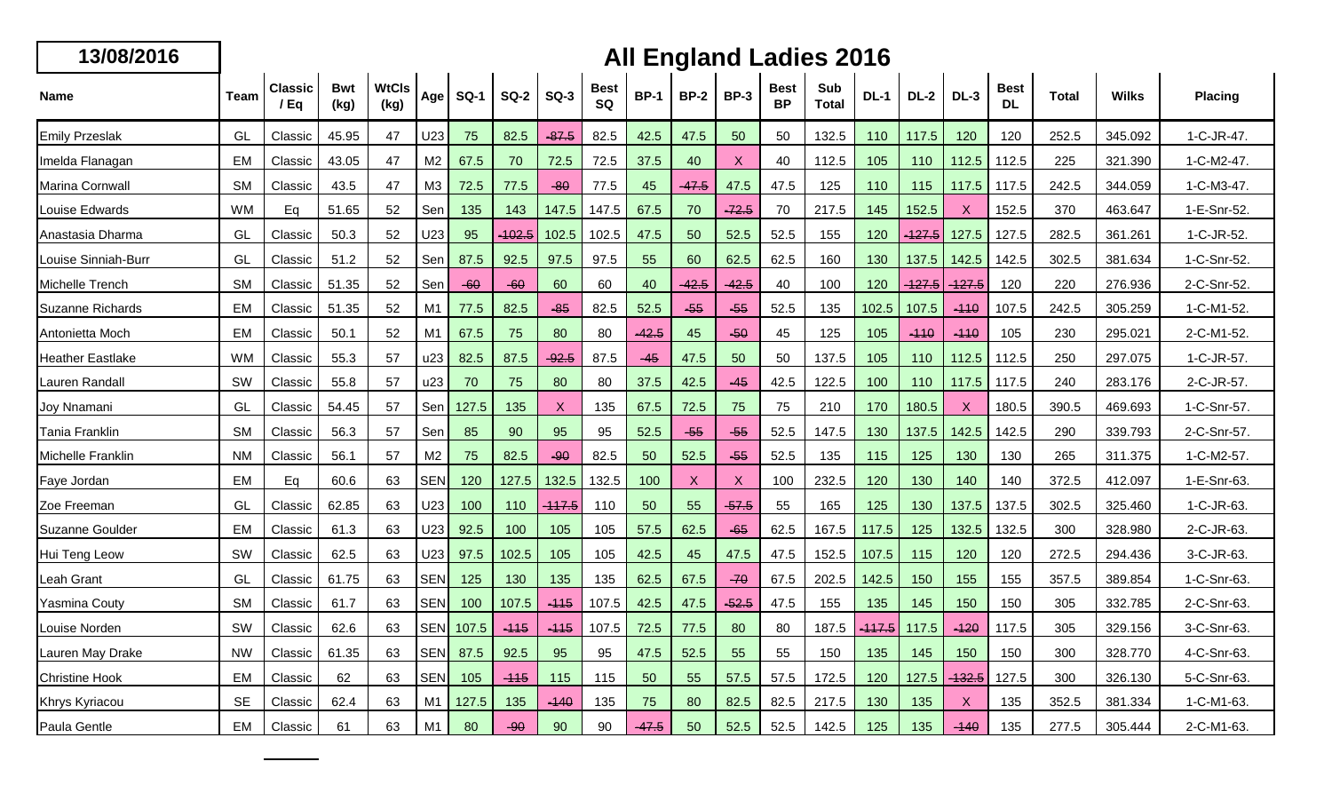## **13/08/2016 All England Ladies 2016**

| Name                    | Team      | <b>Classic</b><br>/ Ea | <b>Bwt</b><br>(kg) | <b>WtCls</b><br>(kg) | Age            | <b>SQ-1</b> | <b>SQ-2</b> | $SO-3$            | <b>Best</b><br>SQ | <b>BP-1</b> | <b>BP-2</b> | <b>BP-3</b> | <b>Best</b><br><b>BP</b> | Sub<br><b>Total</b> | <b>DL-1</b>      | <b>DL-2</b>   | $DL-3$            | <b>Best</b><br><b>DL</b> | Total | <b>Wilks</b> | <b>Placing</b> |
|-------------------------|-----------|------------------------|--------------------|----------------------|----------------|-------------|-------------|-------------------|-------------------|-------------|-------------|-------------|--------------------------|---------------------|------------------|---------------|-------------------|--------------------------|-------|--------------|----------------|
| <b>Emily Przeslak</b>   | GL        | Classic                | 45.95              | 47                   | U23            | 75          | 82.5        | $-87.5$           | 82.5              | 42.5        | 47.5        | 50          | 50                       | 132.5               | 110              | 117.5         | 120               | 120                      | 252.5 | 345.092      | 1-C-JR-47.     |
| Imelda Flanagan         | EM        | Classic                | 43.05              | 47                   | M <sub>2</sub> | 67.5        | 70          | 72.5              | 72.5              | 37.5        | 40          | X           | 40                       | 112.5               | 105              | 110           | 112.5             | 112.5                    | 225   | 321.390      | 1-C-M2-47.     |
| Marina Cornwall         | <b>SM</b> | Classic                | 43.5               | 47                   | M3             | 72.5        | 77.5        | $-80$             | 77.5              | 45          | $-47.5$     | 47.5        | 47.5                     | 125                 | 110              | 115           | 117.5             | 117.5                    | 242.5 | 344.059      | 1-C-M3-47.     |
| Louise Edwards          | <b>WM</b> | Eq                     | 51.65              | 52                   | Sen            | 135         | 143         | 147.5             | 147.5             | 67.5        | 70          | $-72.5$     | 70                       | 217.5               | 145              | 152.5         | X                 | 152.5                    | 370   | 463.647      | 1-E-Snr-52.    |
| Anastasia Dharma        | GL        | Classic                | 50.3               | 52                   | U23            | 95          | -102.5      | 102.5             | 102.5             | 47.5        | 50          | 52.5        | 52.5                     | 155                 | 120              | $-127.5$      | 127.5             | 127.5                    | 282.5 | 361.261      | 1-C-JR-52.     |
| Louise Sinniah-Burr     | GL        | Classic                | 51.2               | 52                   | Sen            | 87.5        | 92.5        | 97.5              | 97.5              | 55          | 60          | 62.5        | 62.5                     | 160                 | 130              | 137.5         | 142.5             | 142.5                    | 302.5 | 381.634      | 1-C-Snr-52.    |
| Michelle Trench         | <b>SM</b> | Classic                | 51.35              | 52                   | Sen            | $-60$       | $-60$       | 60                | 60                | 40          | -42.5       | $-42.5$     | 40                       | 100                 | 120              | <u> 127.5</u> | <del>-127.5</del> | 120                      | 220   | 276.936      | 2-C-Snr-52.    |
| Suzanne Richards        | EM        | Classic                | 51.35              | 52                   | M1             | 77.5        | 82.5        | $-85$             | 82.5              | 52.5        | $-55$       | $-55$       | 52.5                     | 135                 | 102.5            | 107.5         | $-110$            | 107.5                    | 242.5 | 305.259      | 1-C-M1-52.     |
| Antonietta Moch         | <b>EM</b> | Classic                | 50.1               | 52                   | M1             | 67.5        | 75          | 80                | 80                | $-42.5$     | 45          | $-50$       | 45                       | 125                 | 105              | $-110$        | $-110$            | 105                      | 230   | 295.021      | 2-C-M1-52.     |
| <b>Heather Eastlake</b> | <b>WM</b> | Classic                | 55.3               | 57                   | u23            | 82.5        | 87.5        | $-92.5$           | 87.5              | $-45$       | 47.5        | 50          | 50                       | 137.5               | 105              | 110           | 112.5             | 112.5                    | 250   | 297.075      | 1-C-JR-57.     |
| Lauren Randall          | SW        | Classic                | 55.8               | 57                   | u23            | 70          | 75          | 80                | 80                | 37.5        | 42.5        | $-45$       | 42.5                     | 122.5               | 100              | 110           | 117.5             | 117.5                    | 240   | 283.176      | 2-C-JR-57.     |
| Joy Nnamani             | GL        | Classic                | 54.45              | 57                   | Sen            | 127.5       | 135         | X                 | 135               | 67.5        | 72.5        | 75          | 75                       | 210                 | 170              | 180.5         | $\boldsymbol{X}$  | 180.5                    | 390.5 | 469.693      | 1-C-Snr-57.    |
| Tania Franklin          | <b>SM</b> | Classic                | 56.3               | 57                   | Sen            | 85          | 90          | 95                | 95                | 52.5        | $-55$       | $-55$       | 52.5                     | 147.5               | 130              | 137.5         | 142.5             | 142.5                    | 290   | 339.793      | 2-C-Snr-57.    |
| Michelle Franklin       | <b>NM</b> | Classic                | 56.1               | 57                   | M <sub>2</sub> | 75          | 82.5        | $-90$             | 82.5              | 50          | 52.5        | $-55$       | 52.5                     | 135                 | 115              | 125           | 130               | 130                      | 265   | 311.375      | 1-C-M2-57.     |
| Faye Jordan             | EM        | Ea                     | 60.6               | 63                   | <b>SEN</b>     | 120         | 127.5       | 132.5             | 132.5             | 100         | X           | X           | 100                      | 232.5               | 120              | 130           | 140               | 140                      | 372.5 | 412.097      | 1-E-Snr-63.    |
| Zoe Freeman             | GL        | Classic                | 62.85              | 63                   | U23            | 100         | 110         | <del>-117.5</del> | 110               | 50          | 55          | $-57.5$     | 55                       | 165                 | 125              | 130           | 137.5             | 137.5                    | 302.5 | 325.460      | 1-C-JR-63.     |
| Suzanne Goulder         | <b>EM</b> | Classic                | 61.3               | 63                   | U23            | 92.5        | 100         | 105               | 105               | 57.5        | 62.5        | $-65$       | 62.5                     | 167.5               | 117.5            | 125           | 132.5             | 132.5                    | 300   | 328.980      | 2-C-JR-63.     |
| Hui Teng Leow           | SW        | Classic                | 62.5               | 63                   | U23            | 97.5        | 102.5       | 105               | 105               | 42.5        | 45          | 47.5        | 47.5                     | 152.5               | 107.5            | 115           | 120               | 120                      | 272.5 | 294.436      | 3-C-JR-63.     |
| Leah Grant              | GL        | Classic                | 61.75              | 63                   | <b>SEN</b>     | 125         | 130         | 135               | 135               | 62.5        | 67.5        | $-70$       | 67.5                     | 202.5               | 142.5            | 150           | 155               | 155                      | 357.5 | 389.854      | 1-C-Snr-63.    |
| Yasmina Couty           | <b>SM</b> | Classic                | 61.7               | 63                   | <b>SEN</b>     | 100         | 107.5       | $-115$            | 107.5             | 42.5        | 47.5        | $-52.5$     | 47.5                     | 155                 | 135              | 145           | 150               | 150                      | 305   | 332.785      | 2-C-Snr-63     |
| Louise Norden           | SW        | Classic                | 62.6               | 63                   | <b>SEN</b>     | 107.5       | -115        | -115              | 107.5             | 72.5        | 77.5        | 80          | 80                       | 187.5               | <del>117.5</del> | 117.5         | $-120$            | 117.5                    | 305   | 329.156      | 3-C-Snr-63.    |
| Lauren May Drake        | <b>NW</b> | Classic                | 61.35              | 63                   | <b>SEN</b>     | 87.5        | 92.5        | 95                | 95                | 47.5        | 52.5        | 55          | 55                       | 150                 | 135              | 145           | 150               | 150                      | 300   | 328.770      | 4-C-Snr-63.    |
| <b>Christine Hook</b>   | <b>EM</b> | Classic                | 62                 | 63                   | <b>SEN</b>     | 105         | $-115$      | 115               | 115               | 50          | 55          | 57.5        | 57.5                     | 172.5               | 120              | 127.5         | <u>432.5</u>      | 127.5                    | 300   | 326.130      | 5-C-Snr-63.    |
| Khrys Kyriacou          | <b>SE</b> | Classic                | 62.4               | 63                   | M1             | 127.5       | 135         | $-140$            | 135               | 75          | 80          | 82.5        | 82.5                     | 217.5               | 130              | 135           | X                 | 135                      | 352.5 | 381.334      | 1-C-M1-63.     |
| Paula Gentle            | EM        | Classic                | 61                 | 63                   | M1             | 80          | $-90$       | 90                | 90                | -47.5       | 50          | 52.5        | 52.5                     | 142.5               | 125              | 135           | $-140$            | 135                      | 277.5 | 305.444      | 2-C-M1-63.     |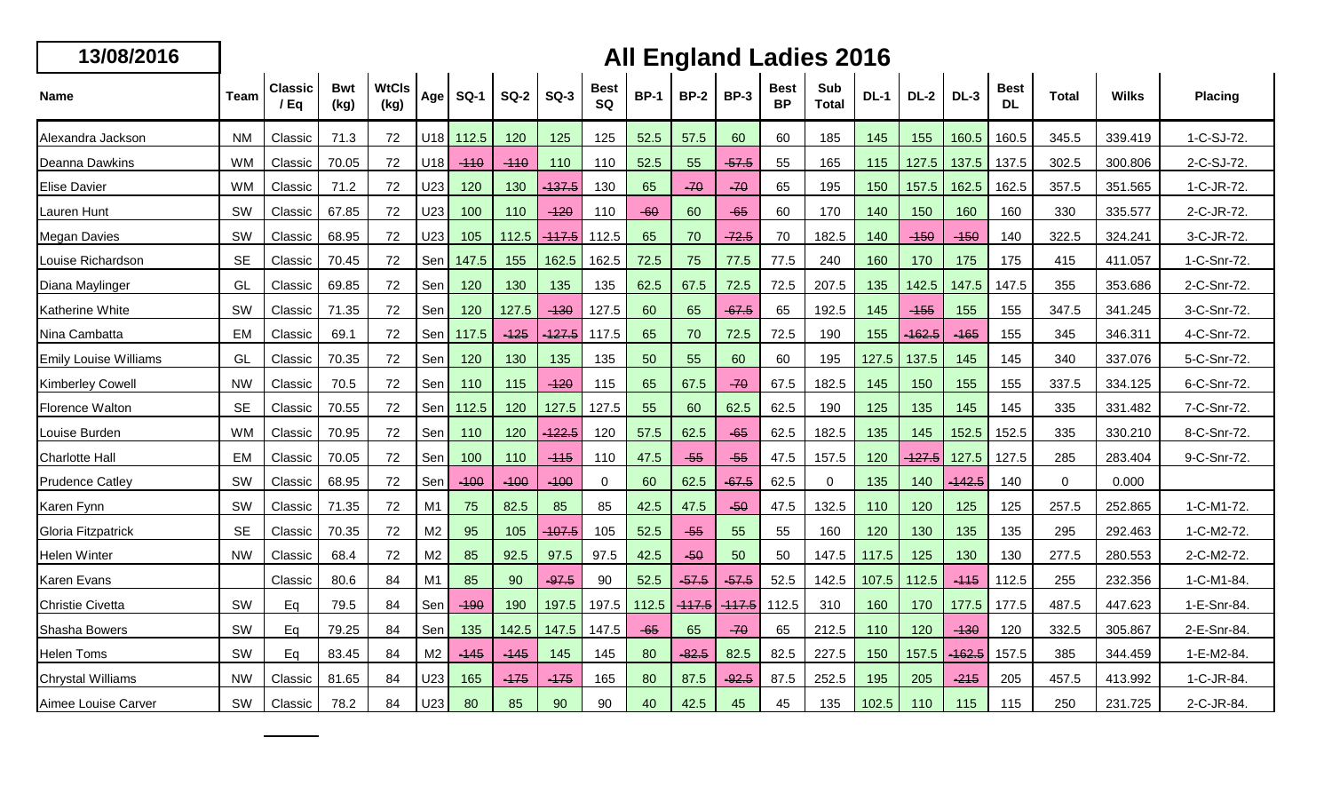| 13/08/201 |  |  |  |
|-----------|--|--|--|
|           |  |  |  |

## **16 All England Ladies 2016**

| <b>Name</b>                  | <b>Team</b> | <b>Classic</b><br>/Eq | Bwt<br>(kg) | <b>WtCls</b><br>(kg) | Age            | <b>SQ-1</b> | <b>SQ-2</b> | $SO-3$   | <b>Best</b><br>SQ | <b>BP-1</b> | <b>BP-2</b> | <b>BP-3</b> | <b>Best</b><br><b>BP</b> | Sub<br><b>Total</b> | <b>DL-1</b> | <b>DL-2</b> | $DL-3$   | <b>Best</b><br><b>DL</b> | <b>Total</b> | <b>Wilks</b> | Placing     |
|------------------------------|-------------|-----------------------|-------------|----------------------|----------------|-------------|-------------|----------|-------------------|-------------|-------------|-------------|--------------------------|---------------------|-------------|-------------|----------|--------------------------|--------------|--------------|-------------|
| Alexandra Jackson            | <b>NM</b>   | Classic               | 71.3        | 72                   | U18            | 112.5       | 120         | 125      | 125               | 52.5        | 57.5        | 60          | 60                       | 185                 | 145         | 155         | 160.5    | 160.5                    | 345.5        | 339.419      | 1-C-SJ-72.  |
| Deanna Dawkins               | <b>WM</b>   | Classic               | 70.05       | 72                   | U18            | $-110$      | $-110$      | 110      | 110               | 52.5        | 55          | $-57.5$     | 55                       | 165                 | 115         | 127.5       | 137.5    | 137.5                    | 302.5        | 300.806      | 2-C-SJ-72.  |
| <b>Elise Davier</b>          | <b>WM</b>   | Classic               | 71.2        | 72                   | U23            | 120         | 130         | 137.5    | 130               | 65          | $-70$       | $-70$       | 65                       | 195                 | 150         | 157.5       | 162.5    | 162.5                    | 357.5        | 351.565      | 1-C-JR-72.  |
| Lauren Hunt                  | SW          | Classic               | 67.85       | 72                   | U23            | 100         | 110         | $-120$   | 110               | $-60$       | 60          | $-65$       | 60                       | 170                 | 140         | 150         | 160      | 160                      | 330          | 335.577      | 2-C-JR-72.  |
| <b>Megan Davies</b>          | SW          | Classic               | 68.95       | 72                   | U23            | 105         | 112.5       | $-117.5$ | 112.5             | 65          | 70          | $-72.5$     | 70                       | 182.5               | 140         | $-150$      | $-150$   | 140                      | 322.5        | 324.241      | 3-C-JR-72.  |
| Louise Richardson            | <b>SE</b>   | Classic               | 70.45       | 72                   | Sen            | 147.5       | 155         | 162.5    | 162.5             | 72.5        | 75          | 77.5        | 77.5                     | 240                 | 160         | 170         | 175      | 175                      | 415          | 411.057      | 1-C-Snr-72. |
| Diana Maylinger              | GL          | Classic               | 69.85       | 72                   | Sen            | 120         | 130         | 135      | 135               | 62.5        | 67.5        | 72.5        | 72.5                     | 207.5               | 135         | 142.5       | 147.5    | 147.5                    | 355          | 353.686      | 2-C-Snr-72. |
| Katherine White              | SW          | Classic               | 71.35       | 72                   | Sen            | 120         | 127.5       | $-130$   | 127.5             | 60          | 65          | $-67.5$     | 65                       | 192.5               | 145         | $-155$      | 155      | 155                      | 347.5        | 341.245      | 3-C-Snr-72. |
| Nina Cambatta                | <b>EM</b>   | Classic               | 69.1        | 72                   | Sen            | 117.5       | $-125$      | $-127.5$ | 117.5             | 65          | 70          | 72.5        | 72.5                     | 190                 | 155         | $-162.5$    | $-165$   | 155                      | 345          | 346.311      | 4-C-Snr-72. |
| <b>Emily Louise Williams</b> | GL          | Classic               | 70.35       | 72                   | Sen            | 120         | 130         | 135      | 135               | 50          | 55          | 60          | 60                       | 195                 | 127.5       | 137.5       | 145      | 145                      | 340          | 337.076      | 5-C-Snr-72. |
| Kimberley Cowell             | <b>NW</b>   | Classic               | 70.5        | 72                   | Sen            | 110         | 115         | $-120$   | 115               | 65          | 67.5        | $-70$       | 67.5                     | 182.5               | 145         | 150         | 155      | 155                      | 337.5        | 334.125      | 6-C-Snr-72. |
| Florence Walton              | <b>SE</b>   | Classic               | 70.55       | 72                   | Sen            | 112.5       | 120         | 127.5    | 127.5             | 55          | 60          | 62.5        | 62.5                     | 190                 | 125         | 135         | 145      | 145                      | 335          | 331.482      | 7-C-Snr-72. |
| Louise Burden                | <b>WM</b>   | Classic               | 70.95       | 72                   | Sen            | 110         | 120         | $-122.5$ | 120               | 57.5        | 62.5        | $-65$       | 62.5                     | 182.5               | 135         | 145         | 152.5    | 152.5                    | 335          | 330.210      | 8-C-Snr-72. |
| <b>Charlotte Hall</b>        | EM          | Classic               | 70.05       | 72                   | Sen            | 100         | 110         | $-115$   | 110               | 47.5        | $-55$       | $-55$       | 47.5                     | 157.5               | 120         | $-127.5$    | 127.5    | 127.5                    | 285          | 283.404      | 9-C-Snr-72. |
| <b>Prudence Catley</b>       | SW          | Classic               | 68.95       | 72                   | Sen            | $-100$      | $-100$      | $-100$   | $\Omega$          | 60          | 62.5        | $-67.5$     | 62.5                     | $\Omega$            | 135         | 140         | $-142.5$ | 140                      | $\Omega$     | 0.000        |             |
| Karen Fynn                   | SW          | Classic               | 71.35       | 72                   | M <sub>1</sub> | 75          | 82.5        | 85       | 85                | 42.5        | 47.5        | $-50$       | 47.5                     | 132.5               | 110         | 120         | 125      | 125                      | 257.5        | 252.865      | 1-C-M1-72.  |
| Gloria Fitzpatrick           | <b>SE</b>   | Classic               | 70.35       | 72                   | M <sub>2</sub> | 95          | 105         | $-107.5$ | 105               | 52.5        | $-55$       | 55          | 55                       | 160                 | 120         | 130         | 135      | 135                      | 295          | 292.463      | 1-C-M2-72.  |
| <b>Helen Winter</b>          | <b>NW</b>   | Classic               | 68.4        | 72                   | M <sub>2</sub> | 85          | 92.5        | 97.5     | 97.5              | 42.5        | $-50$       | 50          | 50                       | 147.5               | 117.5       | 125         | 130      | 130                      | 277.5        | 280.553      | 2-C-M2-72.  |
| Karen Evans                  |             | Classic               | 80.6        | 84                   | M1             | 85          | 90          | $-97.5$  | 90                | 52.5        | $-57.5$     | $-57.5$     | 52.5                     | 142.5               | 107.5       | 112.5       | $-115$   | 112.5                    | 255          | 232.356      | 1-C-M1-84.  |
| <b>Christie Civetta</b>      | SW          | Eq                    | 79.5        | 84                   | Sen            | $-190$      | 190         | 197.5    | 197.5             | 112.5       | -117.5      | $-117.5$    | 112.5                    | 310                 | 160         | 170         | 177.5    | 177.5                    | 487.5        | 447.623      | 1-E-Snr-84. |
| Shasha Bowers                | SW          | Eq                    | 79.25       | 84                   | Sen            | 135         | 142.5       | 147.5    | 147.5             | $-65$       | 65          | $-70$       | 65                       | 212.5               | 110         | 120         | $-130$   | 120                      | 332.5        | 305.867      | 2-E-Snr-84. |
| <b>Helen Toms</b>            | SW          | Eq                    | 83.45       | 84                   | M <sub>2</sub> | $-145$      | $-145$      | 145      | 145               | 80          | $-82.5$     | 82.5        | 82.5                     | 227.5               | 150         | 157.5       | $-162.5$ | 157.5                    | 385          | 344.459      | 1-E-M2-84.  |
| <b>Chrystal Williams</b>     | <b>NW</b>   | Classic               | 81.65       | 84                   | U23            | 165         | $-175$      | $-175$   | 165               | 80          | 87.5        | $-92.5$     | 87.5                     | 252.5               | 195         | 205         | $-215$   | 205                      | 457.5        | 413.992      | 1-C-JR-84.  |
| Aimee Louise Carver          | SW          | Classic               | 78.2        | 84                   | U23            | 80          | 85          | 90       | 90                | 40          | 42.5        | 45          | 45                       | 135                 | 102.5       | 110         | 115      | 115                      | 250          | 231.725      | 2-C-JR-84.  |